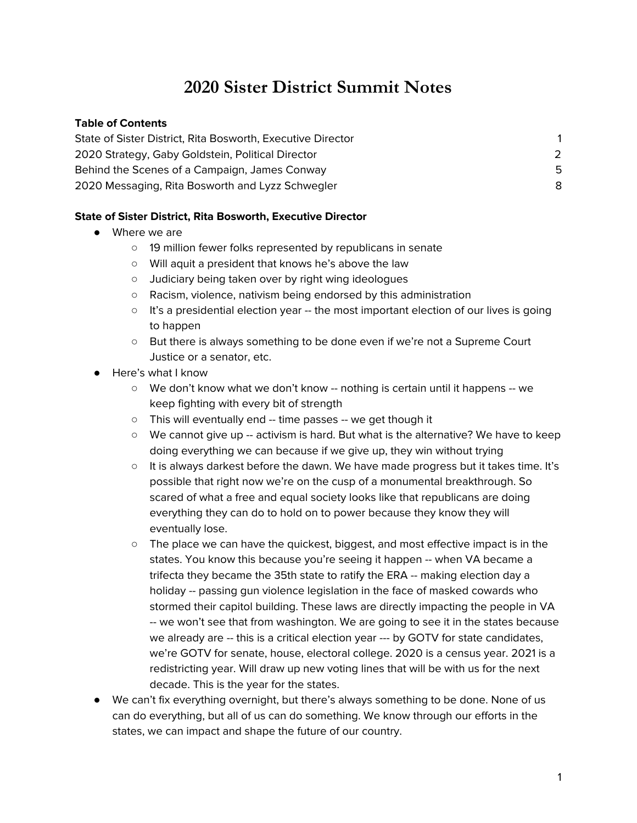# **2020 Sister District Summit Notes**

#### **Table of Contents**

| State of Sister District, Rita Bosworth, Executive Director |    |
|-------------------------------------------------------------|----|
| 2020 Strategy, Gaby Goldstein, Political Director           |    |
| Behind the Scenes of a Campaign, James Conway               | -5 |
| 2020 Messaging, Rita Bosworth and Lyzz Schwegler            | 8  |

#### <span id="page-0-0"></span>**State of Sister District, Rita Bosworth, Executive Director**

- Where we are
	- 19 million fewer folks represented by republicans in senate
	- Will aquit a president that knows he's above the law
	- Judiciary being taken over by right wing ideologues
	- Racism, violence, nativism being endorsed by this administration
	- $\circ$  It's a presidential election year -- the most important election of our lives is going to happen
	- But there is always something to be done even if we're not a Supreme Court Justice or a senator, etc.
- Here's what I know
	- We don't know what we don't know -- nothing is certain until it happens -- we keep fighting with every bit of strength
	- This will eventually end -- time passes -- we get though it
	- We cannot give up -- activism is hard. But what is the alternative? We have to keep doing everything we can because if we give up, they win without trying
	- $\circ$  It is always darkest before the dawn. We have made progress but it takes time. It's possible that right now we're on the cusp of a monumental breakthrough. So scared of what a free and equal society looks like that republicans are doing everything they can do to hold on to power because they know they will eventually lose.
	- The place we can have the quickest, biggest, and most effective impact is in the states. You know this because you're seeing it happen -- when VA became a trifecta they became the 35th state to ratify the ERA -- making election day a holiday -- passing gun violence legislation in the face of masked cowards who stormed their capitol building. These laws are directly impacting the people in VA -- we won't see that from washington. We are going to see it in the states because we already are -- this is a critical election year --- by GOTV for state candidates, we're GOTV for senate, house, electoral college. 2020 is a census year. 2021 is a redistricting year. Will draw up new voting lines that will be with us for the next decade. This is the year for the states.
- We can't fix everything overnight, but there's always something to be done. None of us can do everything, but all of us can do something. We know through our efforts in the states, we can impact and shape the future of our country.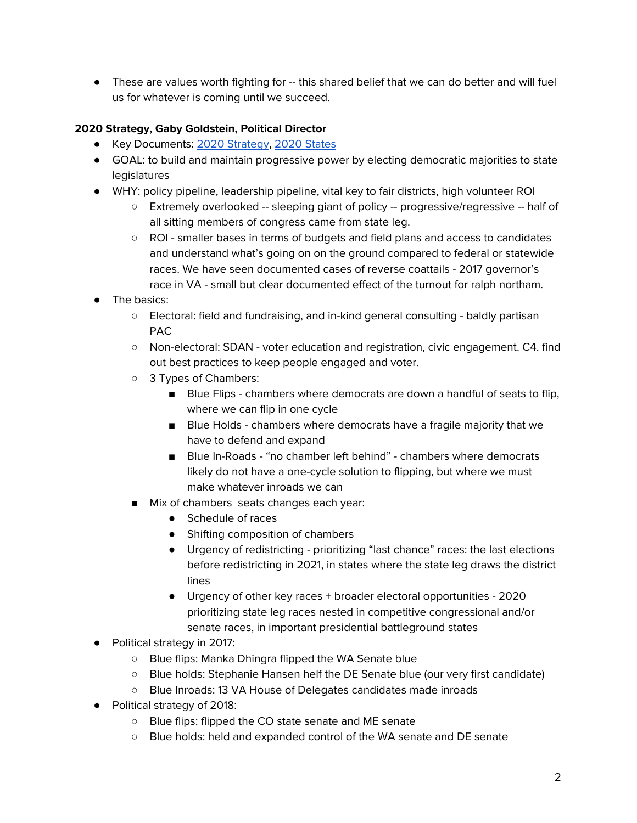• These are values worth fighting for -- this shared belief that we can do better and will fuel us for whatever is coming until we succeed.

## <span id="page-1-0"></span>**2020 Strategy, Gaby Goldstein, Political Director**

- Key Documents: 2020 [Strategy,](https://sisterdistrict.com/why-states-matter/2019-2020-political-strategy) 2020 [States](https://sisterdistrict.com/states)
- GOAL: to build and maintain progressive power by electing democratic majorities to state legislatures
- WHY: policy pipeline, leadership pipeline, vital key to fair districts, high volunteer ROI
	- Extremely overlooked -- sleeping giant of policy -- progressive/regressive -- half of all sitting members of congress came from state leg.
	- ROI smaller bases in terms of budgets and field plans and access to candidates and understand what's going on on the ground compared to federal or statewide races. We have seen documented cases of reverse coattails - 2017 governor's race in VA - small but clear documented effect of the turnout for ralph northam.
- The basics:
	- Electoral: field and fundraising, and in-kind general consulting baldly partisan PAC
	- Non-electoral: SDAN voter education and registration, civic engagement. C4. find out best practices to keep people engaged and voter.
	- 3 Types of Chambers:
		- Blue Flips chambers where democrats are down a handful of seats to flip, where we can flip in one cycle
		- Blue Holds chambers where democrats have a fragile majority that we have to defend and expand
		- Blue In-Roads "no chamber left behind" chambers where democrats likely do not have a one-cycle solution to flipping, but where we must make whatever inroads we can
	- Mix of chambers seats changes each year:
		- Schedule of races
		- Shifting composition of chambers
		- Urgency of redistricting prioritizing "last chance" races: the last elections before redistricting in 2021, in states where the state leg draws the district lines
		- Urgency of other key races + broader electoral opportunities 2020 prioritizing state leg races nested in competitive congressional and/or senate races, in important presidential battleground states
- Political strategy in 2017:
	- Blue flips: Manka Dhingra flipped the WA Senate blue
	- Blue holds: Stephanie Hansen helf the DE Senate blue (our very first candidate)
	- Blue Inroads: 13 VA House of Delegates candidates made inroads
- Political strategy of 2018:
	- Blue flips: flipped the CO state senate and ME senate
	- Blue holds: held and expanded control of the WA senate and DE senate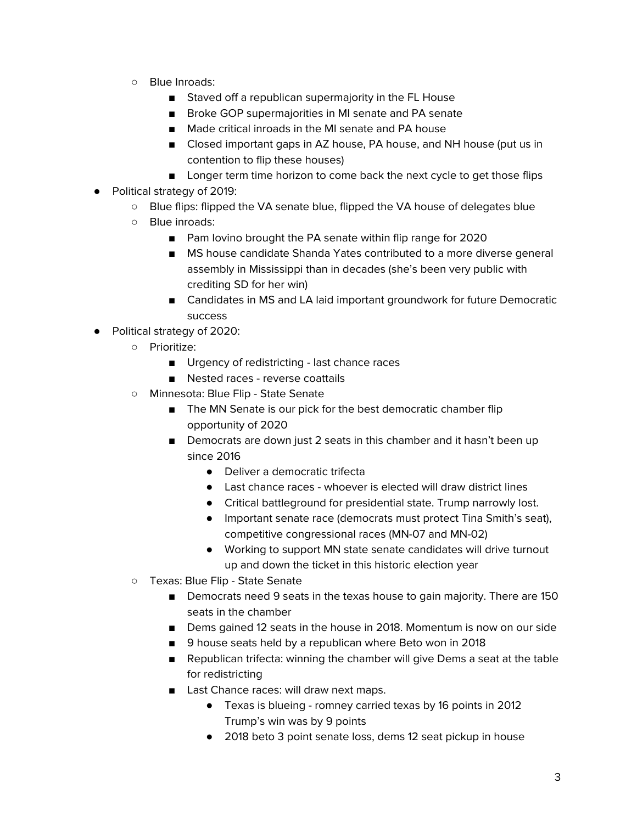- Blue Inroads:
	- Staved off a republican supermajority in the FL House
	- Broke GOP supermajorities in MI senate and PA senate
	- Made critical inroads in the MI senate and PA house
	- Closed important gaps in AZ house, PA house, and NH house (put us in contention to flip these houses)
	- Longer term time horizon to come back the next cycle to get those flips
- Political strategy of 2019:
	- Blue flips: flipped the VA senate blue, flipped the VA house of delegates blue
	- Blue inroads:
		- Pam lovino brought the PA senate within flip range for 2020
		- MS house candidate Shanda Yates contributed to a more diverse general assembly in Mississippi than in decades (she's been very public with crediting SD for her win)
		- Candidates in MS and LA laid important groundwork for future Democratic success
- Political strategy of 2020:
	- Prioritize:
		- Urgency of redistricting last chance races
		- Nested races reverse coattails
	- Minnesota: Blue Flip State Senate
		- The MN Senate is our pick for the best democratic chamber flip opportunity of 2020
		- Democrats are down just 2 seats in this chamber and it hasn't been up since 2016
			- Deliver a democratic trifecta
			- Last chance races whoever is elected will draw district lines
			- Critical battleground for presidential state. Trump narrowly lost.
			- Important senate race (democrats must protect Tina Smith's seat), competitive congressional races (MN-07 and MN-02)
			- Working to support MN state senate candidates will drive turnout up and down the ticket in this historic election year
	- Texas: Blue Flip State Senate
		- Democrats need 9 seats in the texas house to gain majority. There are 150 seats in the chamber
		- Dems gained 12 seats in the house in 2018. Momentum is now on our side
		- 9 house seats held by a republican where Beto won in 2018
		- Republican trifecta: winning the chamber will give Dems a seat at the table for redistricting
		- Last Chance races: will draw next maps.
			- Texas is blueing romney carried texas by 16 points in 2012 Trump's win was by 9 points
			- 2018 beto 3 point senate loss, dems 12 seat pickup in house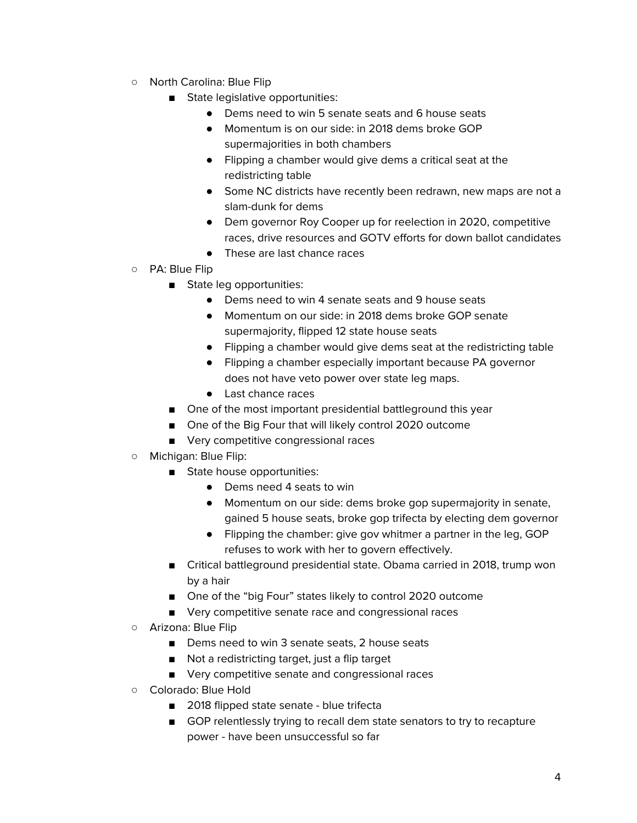- North Carolina: Blue Flip
	- State legislative opportunities:
		- Dems need to win 5 senate seats and 6 house seats
		- Momentum is on our side: in 2018 dems broke GOP supermajorities in both chambers
		- Flipping a chamber would give dems a critical seat at the redistricting table
		- Some NC districts have recently been redrawn, new maps are not a slam-dunk for dems
		- Dem governor Roy Cooper up for reelection in 2020, competitive races, drive resources and GOTV efforts for down ballot candidates
		- These are last chance races
- PA: Blue Flip
	- State leg opportunities:
		- Dems need to win 4 senate seats and 9 house seats
		- Momentum on our side: in 2018 dems broke GOP senate supermajority, flipped 12 state house seats
		- Flipping a chamber would give dems seat at the redistricting table
		- Flipping a chamber especially important because PA governor does not have veto power over state leg maps.
		- Last chance races
	- One of the most important presidential battleground this year
	- One of the Big Four that will likely control 2020 outcome
	- Very competitive congressional races
- Michigan: Blue Flip:
	- State house opportunities:
		- Dems need 4 seats to win
		- Momentum on our side: dems broke gop supermajority in senate, gained 5 house seats, broke gop trifecta by electing dem governor
		- Flipping the chamber: give gov whitmer a partner in the leg, GOP refuses to work with her to govern effectively.
	- Critical battleground presidential state. Obama carried in 2018, trump won by a hair
	- One of the "big Four" states likely to control 2020 outcome
	- Very competitive senate race and congressional races
- Arizona: Blue Flip
	- Dems need to win 3 senate seats, 2 house seats
	- Not a redistricting target, just a flip target
	- Very competitive senate and congressional races
- Colorado: Blue Hold
	- 2018 flipped state senate blue trifecta
	- GOP relentlessly trying to recall dem state senators to try to recapture power - have been unsuccessful so far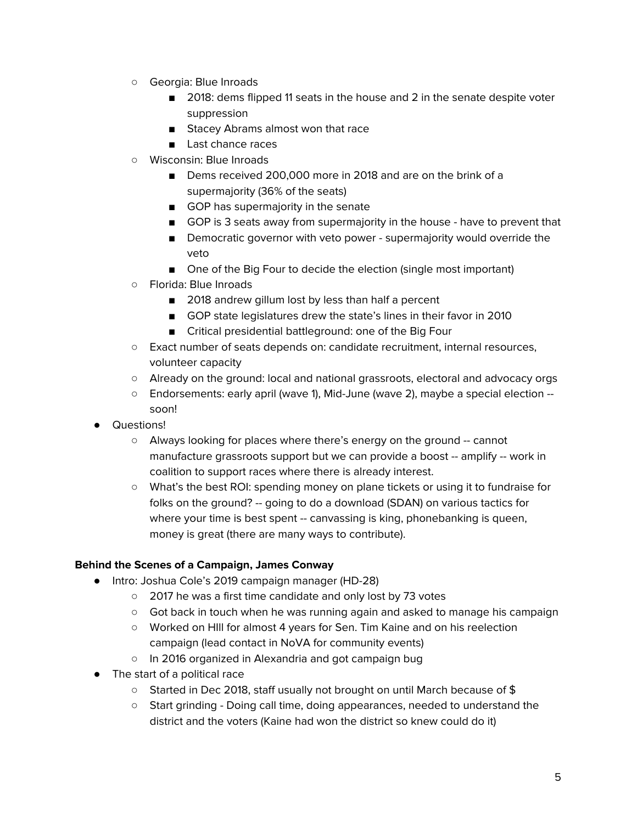- Georgia: Blue Inroads
	- 2018: dems flipped 11 seats in the house and 2 in the senate despite voter suppression
	- Stacey Abrams almost won that race
	- Last chance races
- Wisconsin: Blue Inroads
	- Dems received 200,000 more in 2018 and are on the brink of a supermajority (36% of the seats)
	- GOP has supermajority in the senate
	- GOP is 3 seats away from supermajority in the house have to prevent that
	- Democratic governor with veto power supermajority would override the veto
	- One of the Big Four to decide the election (single most important)
- Florida: Blue Inroads
	- 2018 andrew gillum lost by less than half a percent
	- GOP state legislatures drew the state's lines in their favor in 2010
	- Critical presidential battleground: one of the Big Four
- Exact number of seats depends on: candidate recruitment, internal resources, volunteer capacity
- Already on the ground: local and national grassroots, electoral and advocacy orgs
- Endorsements: early april (wave 1), Mid-June (wave 2), maybe a special election soon!
- Questions!
	- Always looking for places where there's energy on the ground -- cannot manufacture grassroots support but we can provide a boost -- amplify -- work in coalition to support races where there is already interest.
	- What's the best ROI: spending money on plane tickets or using it to fundraise for folks on the ground? -- going to do a download (SDAN) on various tactics for where your time is best spent -- canvassing is king, phonebanking is queen, money is great (there are many ways to contribute).

## <span id="page-4-0"></span>**Behind the Scenes of a Campaign, James Conway**

- Intro: Joshua Cole's 2019 campaign manager (HD-28)
	- 2017 he was a first time candidate and only lost by 73 votes
	- Got back in touch when he was running again and asked to manage his campaign
	- Worked on HIll for almost 4 years for Sen. Tim Kaine and on his reelection campaign (lead contact in NoVA for community events)
	- In 2016 organized in Alexandria and got campaign bug
- The start of a political race
	- Started in Dec 2018, staff usually not brought on until March because of \$
	- Start grinding Doing call time, doing appearances, needed to understand the district and the voters (Kaine had won the district so knew could do it)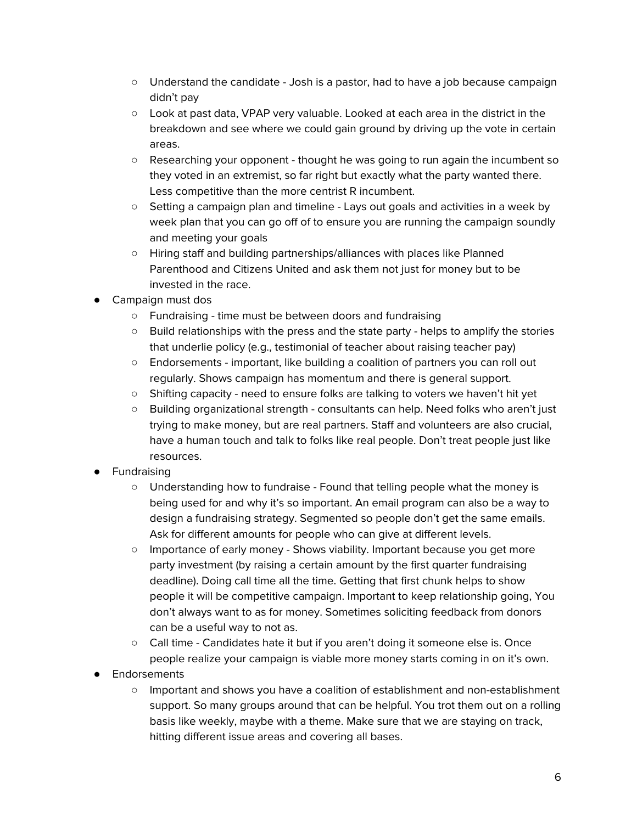- Understand the candidate Josh is a pastor, had to have a job because campaign didn't pay
- Look at past data, VPAP very valuable. Looked at each area in the district in the breakdown and see where we could gain ground by driving up the vote in certain areas.
- Researching your opponent thought he was going to run again the incumbent so they voted in an extremist, so far right but exactly what the party wanted there. Less competitive than the more centrist R incumbent.
- Setting a campaign plan and timeline Lays out goals and activities in a week by week plan that you can go off of to ensure you are running the campaign soundly and meeting your goals
- Hiring staff and building partnerships/alliances with places like Planned Parenthood and Citizens United and ask them not just for money but to be invested in the race.
- Campaign must dos
	- Fundraising time must be between doors and fundraising
	- Build relationships with the press and the state party helps to amplify the stories that underlie policy (e.g., testimonial of teacher about raising teacher pay)
	- Endorsements important, like building a coalition of partners you can roll out regularly. Shows campaign has momentum and there is general support.
	- Shifting capacity need to ensure folks are talking to voters we haven't hit yet
	- Building organizational strength consultants can help. Need folks who aren't just trying to make money, but are real partners. Staff and volunteers are also crucial, have a human touch and talk to folks like real people. Don't treat people just like resources.
- Fundraising
	- Understanding how to fundraise Found that telling people what the money is being used for and why it's so important. An email program can also be a way to design a fundraising strategy. Segmented so people don't get the same emails. Ask for different amounts for people who can give at different levels.
	- Importance of early money Shows viability. Important because you get more party investment (by raising a certain amount by the first quarter fundraising deadline). Doing call time all the time. Getting that first chunk helps to show people it will be competitive campaign. Important to keep relationship going, You don't always want to as for money. Sometimes soliciting feedback from donors can be a useful way to not as.
	- Call time Candidates hate it but if you aren't doing it someone else is. Once people realize your campaign is viable more money starts coming in on it's own.
- Endorsements
	- Important and shows you have a coalition of establishment and non-establishment support. So many groups around that can be helpful. You trot them out on a rolling basis like weekly, maybe with a theme. Make sure that we are staying on track, hitting different issue areas and covering all bases.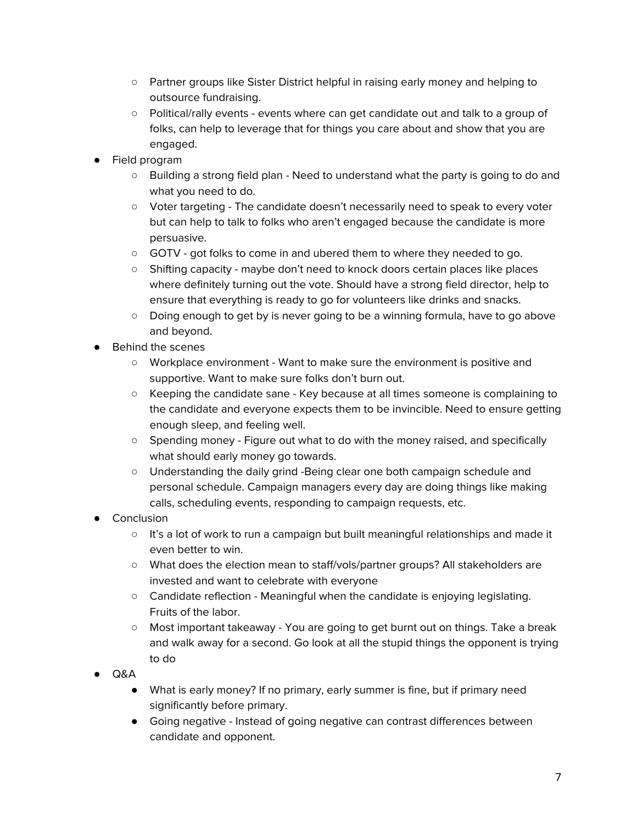- Partner groups like Sister District helpful in raising early money and helping to outsource fundraising.
- Political/rally events events where can get candidate out and talk to a group of folks, can help to leverage that for things you care about and show that you are engaged.
- Field program
	- Building a strong field plan Need to understand what the party is going to do and what you need to do.
	- Voter targeting The candidate doesn't necessarily need to speak to every voter but can help to talk to folks who aren't engaged because the candidate is more persuasive.
	- GOTV got folks to come in and ubered them to where they needed to go.
	- Shifting capacity maybe don't need to knock doors certain places like places where definitely turning out the vote. Should have a strong field director, help to ensure that everything is ready to go for volunteers like drinks and snacks.
	- Doing enough to get by is never going to be a winning formula, have to go above and beyond.
- **Behind the scenes** 
	- Workplace environment Want to make sure the environment is positive and supportive. Want to make sure folks don't burn out.
	- Keeping the candidate sane Key because at all times someone is complaining to the candidate and everyone expects them to be invincible. Need to ensure getting enough sleep, and feeling well.
	- Spending money Figure out what to do with the money raised, and specifically what should early money go towards.
	- Understanding the daily grind -Being clear one both campaign schedule and personal schedule. Campaign managers every day are doing things like making calls, scheduling events, responding to campaign requests, etc.
- Conclusion
	- $\circ$  It's a lot of work to run a campaign but built meaningful relationships and made it even better to win.
	- What does the election mean to staff/vols/partner groups? All stakeholders are invested and want to celebrate with everyone
	- Candidate reflection Meaningful when the candidate is enjoying legislating. Fruits of the labor.
	- Most important takeaway You are going to get burnt out on things. Take a break and walk away for a second. Go look at all the stupid things the opponent is trying to do
- Q&A
	- What is early money? If no primary, early summer is fine, but if primary need significantly before primary.
	- Going negative Instead of going negative can contrast differences between candidate and opponent.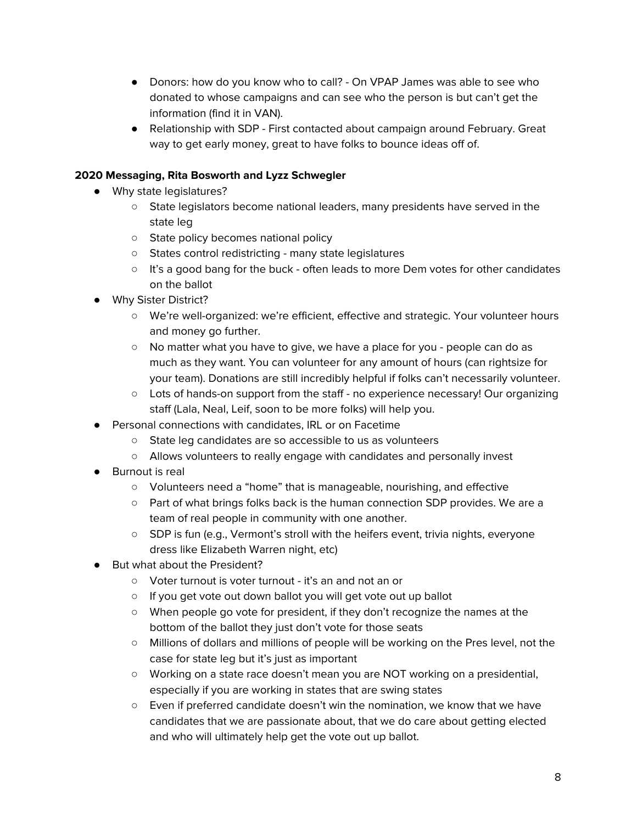- Donors: how do you know who to call? On VPAP James was able to see who donated to whose campaigns and can see who the person is but can't get the information (find it in VAN).
- Relationship with SDP First contacted about campaign around February. Great way to get early money, great to have folks to bounce ideas off of.

# <span id="page-7-0"></span>**2020 Messaging, Rita Bosworth and Lyzz Schwegler**

- Why state legislatures?
	- State legislators become national leaders, many presidents have served in the state leg
	- State policy becomes national policy
	- States control redistricting many state legislatures
	- It's a good bang for the buck often leads to more Dem votes for other candidates on the ballot
- Why Sister District?
	- We're well-organized: we're efficient, effective and strategic. Your volunteer hours and money go further.
	- No matter what you have to give, we have a place for you people can do as much as they want. You can volunteer for any amount of hours (can rightsize for your team). Donations are still incredibly helpful if folks can't necessarily volunteer.
	- Lots of hands-on support from the staff no experience necessary! Our organizing staff (Lala, Neal, Leif, soon to be more folks) will help you.
- Personal connections with candidates, IRL or on Facetime
	- State leg candidates are so accessible to us as volunteers
	- Allows volunteers to really engage with candidates and personally invest
- Burnout is real
	- Volunteers need a "home" that is manageable, nourishing, and effective
	- Part of what brings folks back is the human connection SDP provides. We are a team of real people in community with one another.
	- SDP is fun (e.g., Vermont's stroll with the heifers event, trivia nights, everyone dress like Elizabeth Warren night, etc)
- But what about the President?
	- Voter turnout is voter turnout it's an and not an or
	- If you get vote out down ballot you will get vote out up ballot
	- When people go vote for president, if they don't recognize the names at the bottom of the ballot they just don't vote for those seats
	- Millions of dollars and millions of people will be working on the Pres level, not the case for state leg but it's just as important
	- Working on a state race doesn't mean you are NOT working on a presidential, especially if you are working in states that are swing states
	- Even if preferred candidate doesn't win the nomination, we know that we have candidates that we are passionate about, that we do care about getting elected and who will ultimately help get the vote out up ballot.